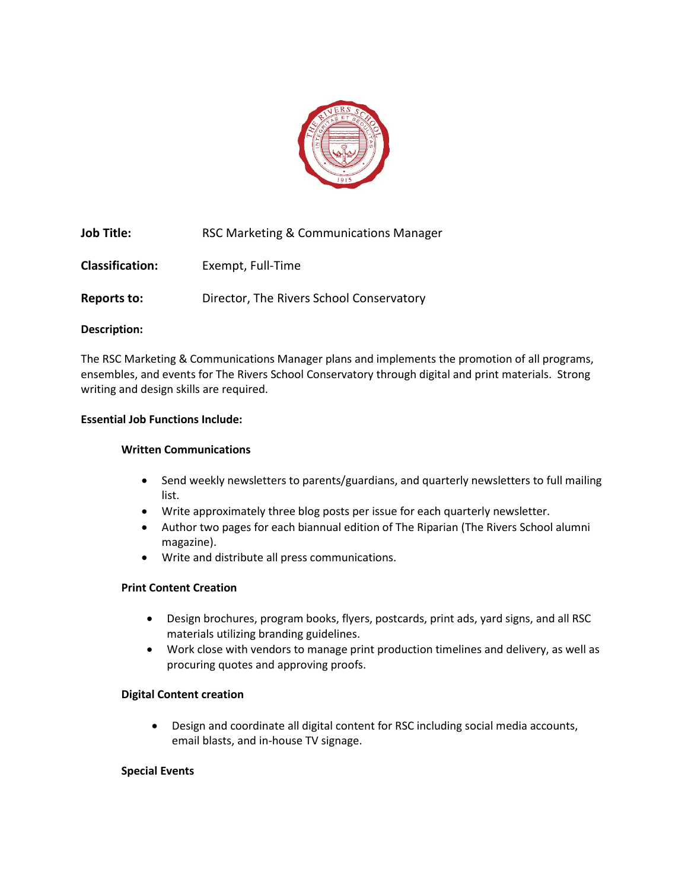

| Job Title:             | RSC Marketing & Communications Manager   |
|------------------------|------------------------------------------|
| <b>Classification:</b> | Exempt, Full-Time                        |
| Reports to:            | Director, The Rivers School Conservatory |

#### **Description:**

The RSC Marketing & Communications Manager plans and implements the promotion of all programs, ensembles, and events for The Rivers School Conservatory through digital and print materials. Strong writing and design skills are required.

# **Essential Job Functions Include:**

#### **Written Communications**

- Send weekly newsletters to parents/guardians, and quarterly newsletters to full mailing list.
- Write approximately three blog posts per issue for each quarterly newsletter.
- Author two pages for each biannual edition of The Riparian (The Rivers School alumni magazine).
- Write and distribute all press communications.

#### **Print Content Creation**

- Design brochures, program books, flyers, postcards, print ads, yard signs, and all RSC materials utilizing branding guidelines.
- Work close with vendors to manage print production timelines and delivery, as well as procuring quotes and approving proofs.

#### **Digital Content creation**

• Design and coordinate all digital content for RSC including social media accounts, email blasts, and in-house TV signage.

#### **Special Events**